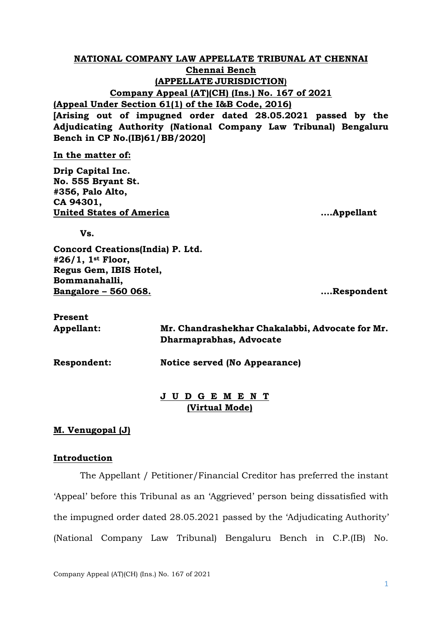# **NATIONAL COMPANY LAW APPELLATE TRIBUNAL AT CHENNAI Chennai Bench (APPELLATE JURISDICTION) Company Appeal (AT)(CH) (Ins.) No. 167 of 2021 (Appeal Under Section 61(1) of the I&B Code, 2016)**

**[Arising out of impugned order dated 28.05.2021 passed by the Adjudicating Authority (National Company Law Tribunal) Bengaluru Bench in CP No.(IB)61/BB/2020]**

**In the matter of:**

**Drip Capital Inc. No. 555 Bryant St. #356, Palo Alto, CA 94301, United States of America ….Appellant**

**Vs.**

**Concord Creations(India) P. Ltd. #26/1, 1st Floor, Regus Gem, IBIS Hotel, Bommanahalli, Bangalore – 560 068. ….Respondent**

| Present     |                                                 |
|-------------|-------------------------------------------------|
| Appellant:  | Mr. Chandrashekhar Chakalabbi, Advocate for Mr. |
|             | Dharmaprabhas, Advocate                         |
| Respondent: | Notice served (No Appearance)                   |
|             |                                                 |

# **J U D G E M E N T (Virtual Mode)**

# **M. Venugopal (J)**

## **Introduction**

The Appellant / Petitioner/Financial Creditor has preferred the instant 'Appeal' before this Tribunal as an 'Aggrieved' person being dissatisfied with the impugned order dated 28.05.2021 passed by the 'Adjudicating Authority' (National Company Law Tribunal) Bengaluru Bench in C.P.(IB) No.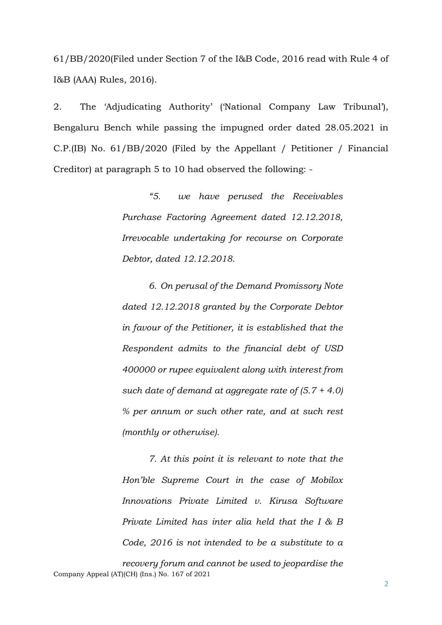61/BB/2020(Filed under Section 7 of the I&B Code, 2016 read with Rule 4 of I&B (AAA) Rules, 2016).

2. The 'Adjudicating Authority' ('National Company Law Tribunal'), Bengaluru Bench while passing the impugned order dated 28.05.2021 in C.P.(IB) No. 61/BB/2020 (Filed by the Appellant / Petitioner / Financial Creditor) at paragraph 5 to 10 had observed the following: -

> *"5. we have perused the Receivables Purchase Factoring Agreement dated 12.12.2018, Irrevocable undertaking for recourse on Corporate Debtor, dated 12.12.2018.*

> *6. On perusal of the Demand Promissory Note dated 12.12.2018 granted by the Corporate Debtor in favour of the Petitioner, it is established that the Respondent admits to the financial debt of USD 400000 or rupee equivalent along with interest from such date of demand at aggregate rate of (5.7 + 4.0) % per annum or such other rate, and at such rest (monthly or otherwise).*

> *7. At this point it is relevant to note that the Hon'ble Supreme Court in the case of Mobilox Innovations Private Limited v. Kirusa Software Private Limited has inter alia held that the I & B Code, 2016 is not intended to be a substitute to a*

Company Appeal (AT)(CH) (Ins.) No. 167 of 2021 *recovery forum and cannot be used to jeopardise the*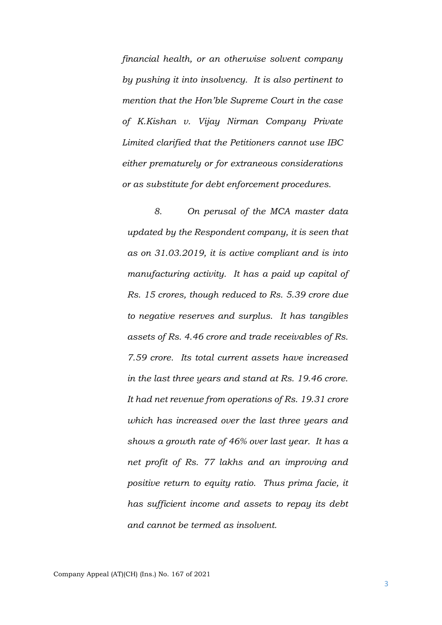*financial health, or an otherwise solvent company by pushing it into insolvency. It is also pertinent to mention that the Hon'ble Supreme Court in the case of K.Kishan v. Vijay Nirman Company Private Limited clarified that the Petitioners cannot use IBC either prematurely or for extraneous considerations or as substitute for debt enforcement procedures.*

*8. On perusal of the MCA master data updated by the Respondent company, it is seen that as on 31.03.2019, it is active compliant and is into manufacturing activity. It has a paid up capital of Rs. 15 crores, though reduced to Rs. 5.39 crore due to negative reserves and surplus. It has tangibles assets of Rs. 4.46 crore and trade receivables of Rs. 7.59 crore. Its total current assets have increased in the last three years and stand at Rs. 19.46 crore. It had net revenue from operations of Rs. 19.31 crore which has increased over the last three years and shows a growth rate of 46% over last year. It has a net profit of Rs. 77 lakhs and an improving and positive return to equity ratio. Thus prima facie, it has sufficient income and assets to repay its debt and cannot be termed as insolvent.*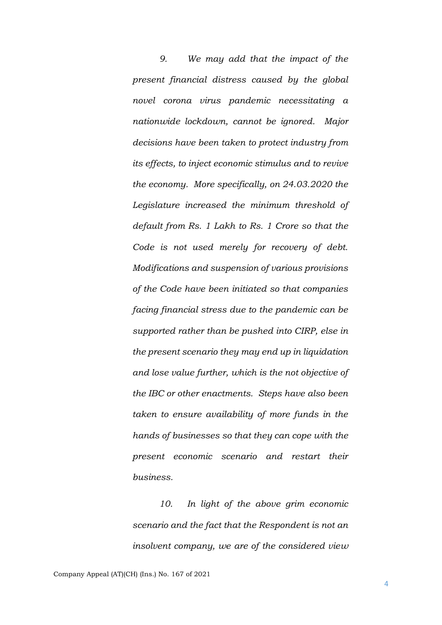*9. We may add that the impact of the present financial distress caused by the global novel corona virus pandemic necessitating a nationwide lockdown, cannot be ignored. Major decisions have been taken to protect industry from its effects, to inject economic stimulus and to revive the economy. More specifically, on 24.03.2020 the Legislature increased the minimum threshold of default from Rs. 1 Lakh to Rs. 1 Crore so that the Code is not used merely for recovery of debt. Modifications and suspension of various provisions of the Code have been initiated so that companies facing financial stress due to the pandemic can be supported rather than be pushed into CIRP, else in the present scenario they may end up in liquidation and lose value further, which is the not objective of the IBC or other enactments. Steps have also been taken to ensure availability of more funds in the hands of businesses so that they can cope with the present economic scenario and restart their business.*

*10. In light of the above grim economic scenario and the fact that the Respondent is not an insolvent company, we are of the considered view*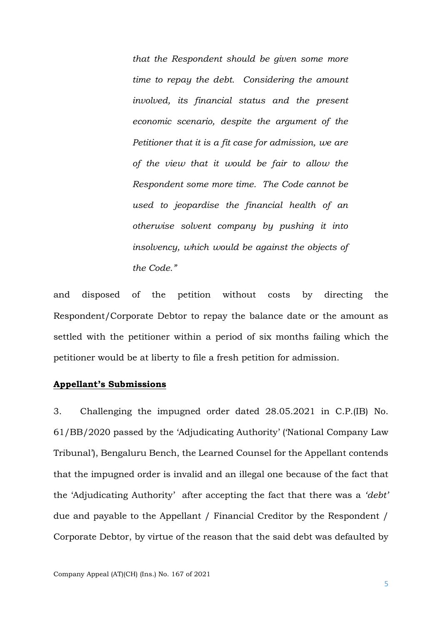*that the Respondent should be given some more time to repay the debt. Considering the amount involved, its financial status and the present economic scenario, despite the argument of the Petitioner that it is a fit case for admission, we are of the view that it would be fair to allow the Respondent some more time. The Code cannot be used to jeopardise the financial health of an otherwise solvent company by pushing it into insolvency, which would be against the objects of the Code."*

and disposed of the petition without costs by directing the Respondent/Corporate Debtor to repay the balance date or the amount as settled with the petitioner within a period of six months failing which the petitioner would be at liberty to file a fresh petition for admission.

### **Appellant's Submissions**

3. Challenging the impugned order dated 28.05.2021 in C.P.(IB) No. 61/BB/2020 passed by the 'Adjudicating Authority' ('National Company Law Tribunal'), Bengaluru Bench, the Learned Counsel for the Appellant contends that the impugned order is invalid and an illegal one because of the fact that the 'Adjudicating Authority' after accepting the fact that there was a *'debt'* due and payable to the Appellant / Financial Creditor by the Respondent / Corporate Debtor, by virtue of the reason that the said debt was defaulted by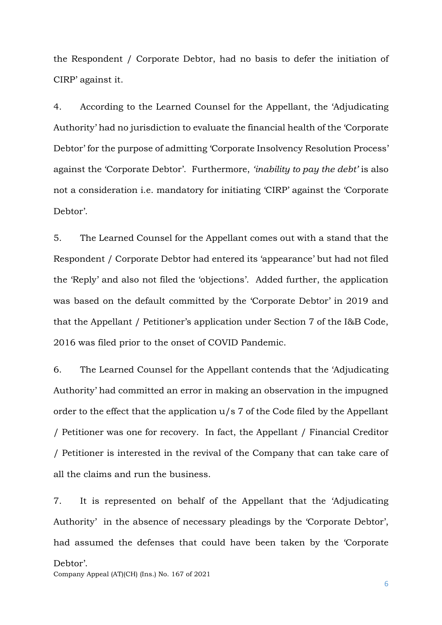the Respondent / Corporate Debtor, had no basis to defer the initiation of CIRP' against it.

4. According to the Learned Counsel for the Appellant, the 'Adjudicating Authority' had no jurisdiction to evaluate the financial health of the 'Corporate Debtor' for the purpose of admitting 'Corporate Insolvency Resolution Process' against the 'Corporate Debtor'. Furthermore, *'inability to pay the debt'* is also not a consideration i.e. mandatory for initiating 'CIRP' against the 'Corporate Debtor'.

5. The Learned Counsel for the Appellant comes out with a stand that the Respondent / Corporate Debtor had entered its 'appearance' but had not filed the 'Reply' and also not filed the 'objections'. Added further, the application was based on the default committed by the 'Corporate Debtor' in 2019 and that the Appellant / Petitioner's application under Section 7 of the I&B Code, 2016 was filed prior to the onset of COVID Pandemic.

6. The Learned Counsel for the Appellant contends that the 'Adjudicating Authority' had committed an error in making an observation in the impugned order to the effect that the application u/s 7 of the Code filed by the Appellant / Petitioner was one for recovery. In fact, the Appellant / Financial Creditor / Petitioner is interested in the revival of the Company that can take care of all the claims and run the business.

Company Appeal (AT)(CH) (Ins.) No. 167 of 2021 7. It is represented on behalf of the Appellant that the 'Adjudicating Authority' in the absence of necessary pleadings by the 'Corporate Debtor', had assumed the defenses that could have been taken by the 'Corporate Debtor'.

6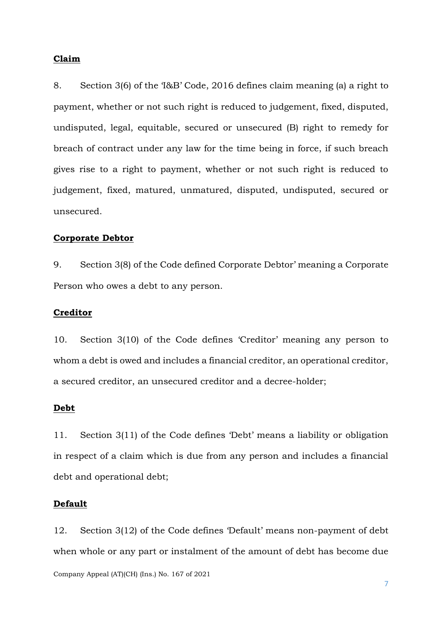#### **Claim**

8. Section 3(6) of the 'I&B' Code, 2016 defines claim meaning (a) a right to payment, whether or not such right is reduced to judgement, fixed, disputed, undisputed, legal, equitable, secured or unsecured (B) right to remedy for breach of contract under any law for the time being in force, if such breach gives rise to a right to payment, whether or not such right is reduced to judgement, fixed, matured, unmatured, disputed, undisputed, secured or unsecured.

#### **Corporate Debtor**

9. Section 3(8) of the Code defined Corporate Debtor' meaning a Corporate Person who owes a debt to any person.

## **Creditor**

10. Section 3(10) of the Code defines 'Creditor' meaning any person to whom a debt is owed and includes a financial creditor, an operational creditor, a secured creditor, an unsecured creditor and a decree-holder;

#### **Debt**

11. Section 3(11) of the Code defines 'Debt' means a liability or obligation in respect of a claim which is due from any person and includes a financial debt and operational debt;

# **Default**

Company Appeal (AT)(CH) (Ins.) No. 167 of 2021 12. Section 3(12) of the Code defines 'Default' means non-payment of debt when whole or any part or instalment of the amount of debt has become due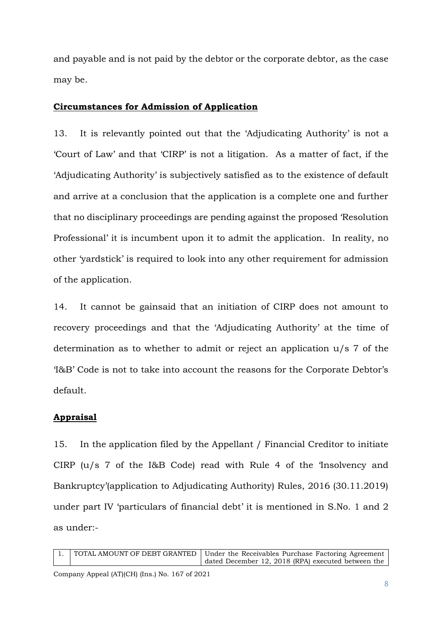and payable and is not paid by the debtor or the corporate debtor, as the case may be.

### **Circumstances for Admission of Application**

13. It is relevantly pointed out that the 'Adjudicating Authority' is not a 'Court of Law' and that 'CIRP' is not a litigation. As a matter of fact, if the 'Adjudicating Authority' is subjectively satisfied as to the existence of default and arrive at a conclusion that the application is a complete one and further that no disciplinary proceedings are pending against the proposed 'Resolution Professional' it is incumbent upon it to admit the application. In reality, no other 'yardstick' is required to look into any other requirement for admission of the application.

14. It cannot be gainsaid that an initiation of CIRP does not amount to recovery proceedings and that the 'Adjudicating Authority' at the time of determination as to whether to admit or reject an application u/s 7 of the 'I&B' Code is not to take into account the reasons for the Corporate Debtor's default.

## **Appraisal**

15. In the application filed by the Appellant / Financial Creditor to initiate CIRP (u/s 7 of the I&B Code) read with Rule 4 of the 'Insolvency and Bankruptcy'(application to Adjudicating Authority) Rules, 2016 (30.11.2019) under part IV 'particulars of financial debt' it is mentioned in S.No. 1 and 2 as under:-

|  | 1. TOTAL AMOUNT OF DEBT GRANTED   Under the Receivables Purchase Factoring Agreement |
|--|--------------------------------------------------------------------------------------|
|  | dated December 12, 2018 (RPA) executed between the                                   |

Company Appeal (AT)(CH) (Ins.) No. 167 of 2021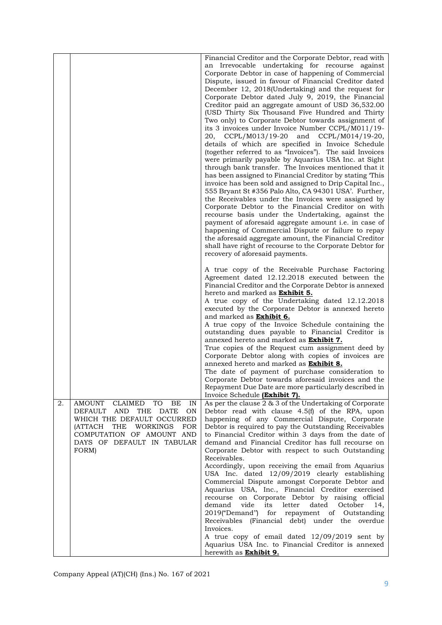|    |                                                                                                                                                                                                           | Financial Creditor and the Corporate Debtor, read with<br>an Irrevocable undertaking for recourse against<br>Corporate Debtor in case of happening of Commercial<br>Dispute, issued in favour of Financial Creditor dated<br>December 12, 2018(Undertaking) and the request for<br>Corporate Debtor dated July 9, 2019, the Financial<br>Creditor paid an aggregate amount of USD 36,532.00<br>(USD Thirty Six Thousand Five Hundred and Thirty<br>Two only) to Corporate Debtor towards assignment of<br>its 3 invoices under Invoice Number CCPL/M011/19-<br>20, CCPL/M013/19-20 and CCPL/M014/19-20,<br>details of which are specified in Invoice Schedule<br>(together referred to as "Invoices"). The said Invoices<br>were primarily payable by Aquarius USA Inc. at Sight<br>through bank transfer. The Invoices mentioned that it<br>has been assigned to Financial Creditor by stating This<br>invoice has been sold and assigned to Drip Capital Inc.,<br>555 Bryant St #356 Palo Alto, CA 94301 USA'. Further,<br>the Receivables under the Invoices were assigned by<br>Corporate Debtor to the Financial Creditor on with<br>recourse basis under the Undertaking, against the<br>payment of aforesaid aggregate amount i.e. in case of<br>happening of Commercial Dispute or failure to repay<br>the aforesaid aggregate amount, the Financial Creditor<br>shall have right of recourse to the Corporate Debtor for<br>recovery of aforesaid payments.<br>A true copy of the Receivable Purchase Factoring |
|----|-----------------------------------------------------------------------------------------------------------------------------------------------------------------------------------------------------------|--------------------------------------------------------------------------------------------------------------------------------------------------------------------------------------------------------------------------------------------------------------------------------------------------------------------------------------------------------------------------------------------------------------------------------------------------------------------------------------------------------------------------------------------------------------------------------------------------------------------------------------------------------------------------------------------------------------------------------------------------------------------------------------------------------------------------------------------------------------------------------------------------------------------------------------------------------------------------------------------------------------------------------------------------------------------------------------------------------------------------------------------------------------------------------------------------------------------------------------------------------------------------------------------------------------------------------------------------------------------------------------------------------------------------------------------------------------------------------------------------------------------------|
|    |                                                                                                                                                                                                           | Agreement dated 12.12.2018 executed between the<br>Financial Creditor and the Corporate Debtor is annexed<br>hereto and marked as <b>Exhibit 5.</b><br>A true copy of the Undertaking dated 12.12.2018<br>executed by the Corporate Debtor is annexed hereto<br>and marked as Exhibit 6.<br>A true copy of the Invoice Schedule containing the<br>outstanding dues payable to Financial Creditor is<br>annexed hereto and marked as <b>Exhibit 7.</b><br>True copies of the Request cum assignment deed by<br>Corporate Debtor along with copies of invoices are<br>annexed hereto and marked as <b>Exhibit 8.</b>                                                                                                                                                                                                                                                                                                                                                                                                                                                                                                                                                                                                                                                                                                                                                                                                                                                                                                       |
|    |                                                                                                                                                                                                           | The date of payment of purchase consideration to<br>Corporate Debtor towards aforesaid invoices and the<br>Repayment Due Date are more particularly described in<br>Invoice Schedule (Exhibit 7).                                                                                                                                                                                                                                                                                                                                                                                                                                                                                                                                                                                                                                                                                                                                                                                                                                                                                                                                                                                                                                                                                                                                                                                                                                                                                                                        |
| 2. | AMOUNT CLAIMED TO BE<br>IN<br>THE DATE<br>DEFAULT AND<br>ON<br>WHICH THE DEFAULT OCCURRED<br>(ATTACH<br>THE<br>WORKINGS<br><b>FOR</b><br>COMPUTATION OF AMOUNT AND<br>DAYS OF DEFAULT IN TABULAR<br>FORM) | As per the clause 2 & 3 of the Undertaking of Corporate<br>Debtor read with clause 4.5(f) of the RPA, upon<br>happening of any Commercial Dispute, Corporate<br>Debtor is required to pay the Outstanding Receivables<br>to Financial Creditor within 3 days from the date of<br>demand and Financial Creditor has full recourse on<br>Corporate Debtor with respect to such Outstanding<br>Receivables.<br>Accordingly, upon receiving the email from Aquarius<br>USA Inc. dated 12/09/2019 clearly establishing<br>Commercial Dispute amongst Corporate Debtor and<br>Aquarius USA, Inc., Financial Creditor exercised                                                                                                                                                                                                                                                                                                                                                                                                                                                                                                                                                                                                                                                                                                                                                                                                                                                                                                 |
|    |                                                                                                                                                                                                           | recourse on Corporate Debtor by raising official<br>dated<br>demand<br>vide<br>its<br>letter<br>October<br>14,<br>2019("Demand")<br>for<br>repayment of<br>Outstanding<br>Receivables (Financial debt) under the overdue<br>Invoices.<br>A true copy of email dated 12/09/2019 sent by<br>Aquarius USA Inc. to Financial Creditor is annexed<br>herewith as <b>Exhibit 9.</b>                                                                                                                                                                                                                                                                                                                                                                                                                                                                                                                                                                                                                                                                                                                                                                                                                                                                                                                                                                                                                                                                                                                                            |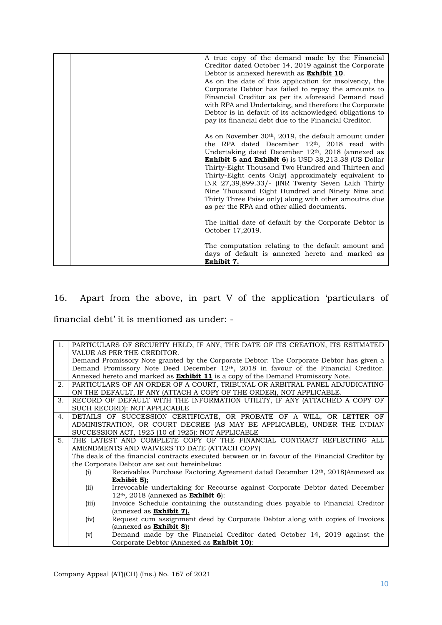|  | A true copy of the demand made by the Financial            |
|--|------------------------------------------------------------|
|  | Creditor dated October 14, 2019 against the Corporate      |
|  | Debtor is annexed herewith as <b>Exhibit 10</b> .          |
|  | As on the date of this application for insolvency, the     |
|  | Corporate Debtor has failed to repay the amounts to        |
|  | Financial Creditor as per its aforesaid Demand read        |
|  | with RPA and Undertaking, and therefore the Corporate      |
|  | Debtor is in default of its acknowledged obligations to    |
|  | pay its financial debt due to the Financial Creditor.      |
|  |                                                            |
|  | As on November $30th$ , 2019, the default amount under     |
|  |                                                            |
|  | the RPA dated December 12th, 2018 read with                |
|  | Undertaking dated December 12th, 2018 (annexed as          |
|  | <b>Exhibit 5 and Exhibit 6</b> is USD 38,213.38 (US Dollar |
|  | Thirty-Eight Thousand Two Hundred and Thirteen and         |
|  | Thirty-Eight cents Only) approximately equivalent to       |
|  | INR 27,39,899.33/- (INR Twenty Seven Lakh Thirty           |
|  | Nine Thousand Eight Hundred and Ninety Nine and            |
|  | Thirty Three Paise only) along with other amoutns due      |
|  | as per the RPA and other allied documents.                 |
|  |                                                            |
|  | The initial date of default by the Corporate Debtor is     |
|  | October 17,2019.                                           |
|  |                                                            |
|  |                                                            |
|  | The computation relating to the default amount and         |
|  | days of default is annexed hereto and marked as            |
|  | Exhibit 7.                                                 |

16. Apart from the above, in part V of the application 'particulars of financial debt' it is mentioned as under: -

| 1.             |                                                                       | PARTICULARS OF SECURITY HELD, IF ANY, THE DATE OF ITS CREATION, ITS ESTIMATED                     |  |
|----------------|-----------------------------------------------------------------------|---------------------------------------------------------------------------------------------------|--|
|                | VALUE AS PER THE CREDITOR.                                            |                                                                                                   |  |
|                |                                                                       | Demand Promissory Note granted by the Corporate Debtor: The Corporate Debtor has given a          |  |
|                |                                                                       | Demand Promissory Note Deed December 12 <sup>th</sup> , 2018 in favour of the Financial Creditor. |  |
|                |                                                                       | Annexed hereto and marked as <b>Exhibit 11</b> is a copy of the Demand Promissory Note.           |  |
| 2.             |                                                                       | PARTICULARS OF AN ORDER OF A COURT, TRIBUNAL OR ARBITRAL PANEL ADJUDICATING                       |  |
|                |                                                                       | ON THE DEFAULT, IF ANY (ATTACH A COPY OF THE ORDER), NOT APPLICABLE.                              |  |
| 3.             |                                                                       | RECORD OF DEFAULT WITH THE INFORMATION UTILITY, IF ANY (ATTACHED A COPY OF                        |  |
|                |                                                                       | SUCH RECORD): NOT APPLICABLE                                                                      |  |
| 4.             |                                                                       | DETAILS OF SUCCESSION CERTIFICATE, OR PROBATE OF A WILL, OR LETTER OF                             |  |
|                |                                                                       | ADMINISTRATION, OR COURT DECREE (AS MAY BE APPLICABLE), UNDER THE INDIAN                          |  |
|                |                                                                       | SUCCESSION ACT, 1925 (10 of 1925): NOT APPLICABLE                                                 |  |
| 5 <sub>1</sub> | THE LATEST AND COMPLETE COPY OF THE FINANCIAL CONTRACT REFLECTING ALL |                                                                                                   |  |
|                | AMENDMENTS AND WAIVERS TO DATE (ATTACH COPY)                          |                                                                                                   |  |
|                |                                                                       | The deals of the financial contracts executed between or in favour of the Financial Creditor by   |  |
|                |                                                                       | the Corporate Debtor are set out hereinbelow:                                                     |  |
|                | (i)                                                                   | Receivables Purchase Factoring Agreement dated December 12th, 2018(Annexed as                     |  |
|                |                                                                       | Exhibit 5);                                                                                       |  |
|                | (ii)                                                                  | Irrevocable undertaking for Recourse against Corporate Debtor dated December                      |  |
|                |                                                                       | $12th$ , 2018 (annexed as <b>Exhibit 6</b> ):                                                     |  |
|                | (iii)                                                                 | Invoice Schedule containing the outstanding dues payable to Financial Creditor                    |  |
|                |                                                                       | (annexed as <b>Exhibit 7).</b>                                                                    |  |
|                | (iv)                                                                  | Request cum assignment deed by Corporate Debtor along with copies of Invoices                     |  |
|                |                                                                       | (annexed as <b>Exhibit 8):</b>                                                                    |  |
|                | (v)                                                                   | Demand made by the Financial Creditor dated October 14, 2019 against the                          |  |
|                |                                                                       | Corporate Debtor (Annexed as <b>Exhibit 10)</b> :                                                 |  |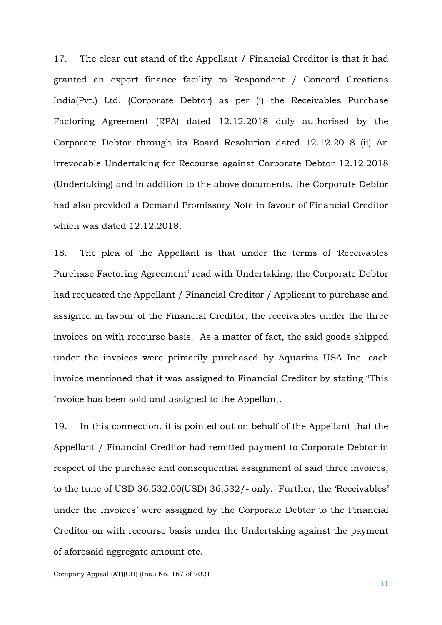17. The clear cut stand of the Appellant / Financial Creditor is that it had granted an export finance facility to Respondent / Concord Creations India(Pvt.) Ltd. (Corporate Debtor) as per (i) the Receivables Purchase Factoring Agreement (RPA) dated 12.12.2018 duly authorised by the Corporate Debtor through its Board Resolution dated 12.12.2018 (ii) An irrevocable Undertaking for Recourse against Corporate Debtor 12.12.2018 (Undertaking) and in addition to the above documents, the Corporate Debtor had also provided a Demand Promissory Note in favour of Financial Creditor which was dated 12.12.2018.

18. The plea of the Appellant is that under the terms of 'Receivables Purchase Factoring Agreement' read with Undertaking, the Corporate Debtor had requested the Appellant / Financial Creditor / Applicant to purchase and assigned in favour of the Financial Creditor, the receivables under the three invoices on with recourse basis. As a matter of fact, the said goods shipped under the invoices were primarily purchased by Aquarius USA Inc. each invoice mentioned that it was assigned to Financial Creditor by stating "This Invoice has been sold and assigned to the Appellant.

19. In this connection, it is pointed out on behalf of the Appellant that the Appellant / Financial Creditor had remitted payment to Corporate Debtor in respect of the purchase and consequential assignment of said three invoices, to the tune of USD 36,532.00(USD) 36,532/- only. Further, the 'Receivables' under the Invoices' were assigned by the Corporate Debtor to the Financial Creditor on with recourse basis under the Undertaking against the payment of aforesaid aggregate amount etc.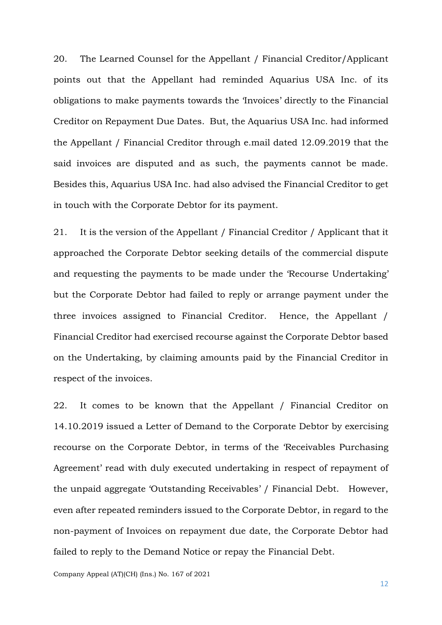20. The Learned Counsel for the Appellant / Financial Creditor/Applicant points out that the Appellant had reminded Aquarius USA Inc. of its obligations to make payments towards the 'Invoices' directly to the Financial Creditor on Repayment Due Dates. But, the Aquarius USA Inc. had informed the Appellant / Financial Creditor through e.mail dated 12.09.2019 that the said invoices are disputed and as such, the payments cannot be made. Besides this, Aquarius USA Inc. had also advised the Financial Creditor to get in touch with the Corporate Debtor for its payment.

21. It is the version of the Appellant / Financial Creditor / Applicant that it approached the Corporate Debtor seeking details of the commercial dispute and requesting the payments to be made under the 'Recourse Undertaking' but the Corporate Debtor had failed to reply or arrange payment under the three invoices assigned to Financial Creditor. Hence, the Appellant / Financial Creditor had exercised recourse against the Corporate Debtor based on the Undertaking, by claiming amounts paid by the Financial Creditor in respect of the invoices.

22. It comes to be known that the Appellant / Financial Creditor on 14.10.2019 issued a Letter of Demand to the Corporate Debtor by exercising recourse on the Corporate Debtor, in terms of the 'Receivables Purchasing Agreement' read with duly executed undertaking in respect of repayment of the unpaid aggregate 'Outstanding Receivables' / Financial Debt. However, even after repeated reminders issued to the Corporate Debtor, in regard to the non-payment of Invoices on repayment due date, the Corporate Debtor had failed to reply to the Demand Notice or repay the Financial Debt.

Company Appeal (AT)(CH) (Ins.) No. 167 of 2021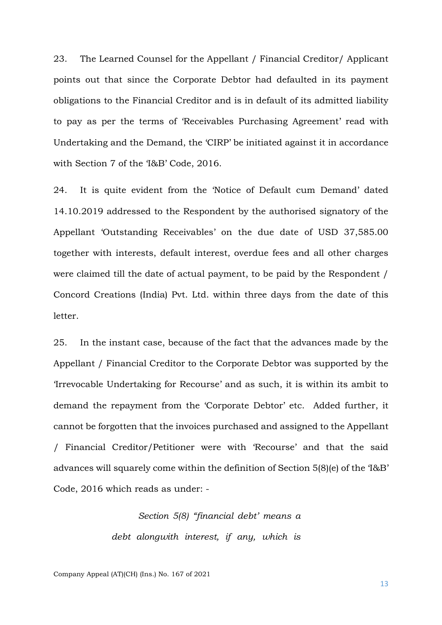23. The Learned Counsel for the Appellant / Financial Creditor/ Applicant points out that since the Corporate Debtor had defaulted in its payment obligations to the Financial Creditor and is in default of its admitted liability to pay as per the terms of 'Receivables Purchasing Agreement' read with Undertaking and the Demand, the 'CIRP' be initiated against it in accordance with Section 7 of the 'I&B' Code, 2016.

24. It is quite evident from the 'Notice of Default cum Demand' dated 14.10.2019 addressed to the Respondent by the authorised signatory of the Appellant 'Outstanding Receivables' on the due date of USD 37,585.00 together with interests, default interest, overdue fees and all other charges were claimed till the date of actual payment, to be paid by the Respondent / Concord Creations (India) Pvt. Ltd. within three days from the date of this letter.

25. In the instant case, because of the fact that the advances made by the Appellant / Financial Creditor to the Corporate Debtor was supported by the 'Irrevocable Undertaking for Recourse' and as such, it is within its ambit to demand the repayment from the 'Corporate Debtor' etc. Added further, it cannot be forgotten that the invoices purchased and assigned to the Appellant / Financial Creditor/Petitioner were with 'Recourse' and that the said advances will squarely come within the definition of Section 5(8)(e) of the 'I&B' Code, 2016 which reads as under: -

> *Section 5(8) "financial debt' means a debt alongwith interest, if any, which is*

Company Appeal (AT)(CH) (Ins.) No. 167 of 2021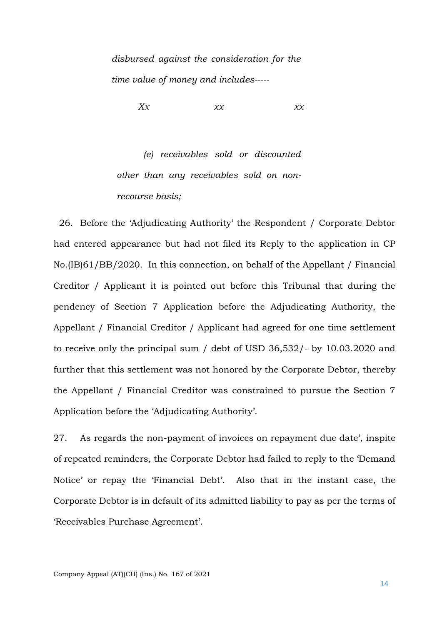*disbursed against the consideration for the time value of money and includes-----*

*Xx xx xx*

*(e) receivables sold or discounted other than any receivables sold on nonrecourse basis;*

 26. Before the 'Adjudicating Authority' the Respondent / Corporate Debtor had entered appearance but had not filed its Reply to the application in CP No.(IB)61/BB/2020. In this connection, on behalf of the Appellant / Financial Creditor / Applicant it is pointed out before this Tribunal that during the pendency of Section 7 Application before the Adjudicating Authority, the Appellant / Financial Creditor / Applicant had agreed for one time settlement to receive only the principal sum / debt of USD 36,532/- by 10.03.2020 and further that this settlement was not honored by the Corporate Debtor, thereby the Appellant / Financial Creditor was constrained to pursue the Section 7 Application before the 'Adjudicating Authority'.

27. As regards the non-payment of invoices on repayment due date', inspite of repeated reminders, the Corporate Debtor had failed to reply to the 'Demand Notice' or repay the 'Financial Debt'. Also that in the instant case, the Corporate Debtor is in default of its admitted liability to pay as per the terms of 'Receivables Purchase Agreement'.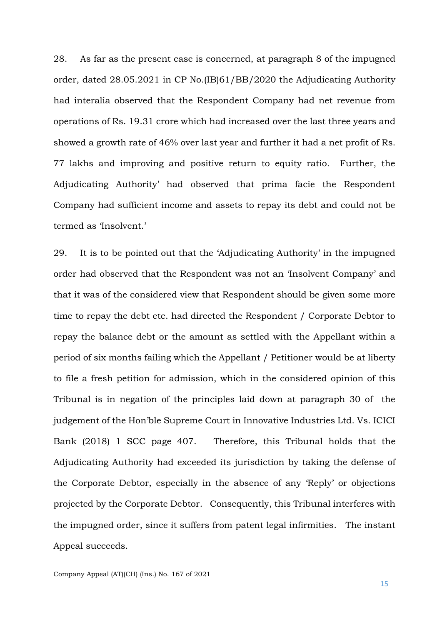28. As far as the present case is concerned, at paragraph 8 of the impugned order, dated 28.05.2021 in CP No.(IB)61/BB/2020 the Adjudicating Authority had interalia observed that the Respondent Company had net revenue from operations of Rs. 19.31 crore which had increased over the last three years and showed a growth rate of 46% over last year and further it had a net profit of Rs. 77 lakhs and improving and positive return to equity ratio. Further, the Adjudicating Authority' had observed that prima facie the Respondent Company had sufficient income and assets to repay its debt and could not be termed as 'Insolvent.'

29. It is to be pointed out that the 'Adjudicating Authority' in the impugned order had observed that the Respondent was not an 'Insolvent Company' and that it was of the considered view that Respondent should be given some more time to repay the debt etc. had directed the Respondent / Corporate Debtor to repay the balance debt or the amount as settled with the Appellant within a period of six months failing which the Appellant / Petitioner would be at liberty to file a fresh petition for admission, which in the considered opinion of this Tribunal is in negation of the principles laid down at paragraph 30 of the judgement of the Hon'ble Supreme Court in Innovative Industries Ltd. Vs. ICICI Bank (2018) 1 SCC page 407. Therefore, this Tribunal holds that the Adjudicating Authority had exceeded its jurisdiction by taking the defense of the Corporate Debtor, especially in the absence of any 'Reply' or objections projected by the Corporate Debtor. Consequently, this Tribunal interferes with the impugned order, since it suffers from patent legal infirmities. The instant Appeal succeeds.